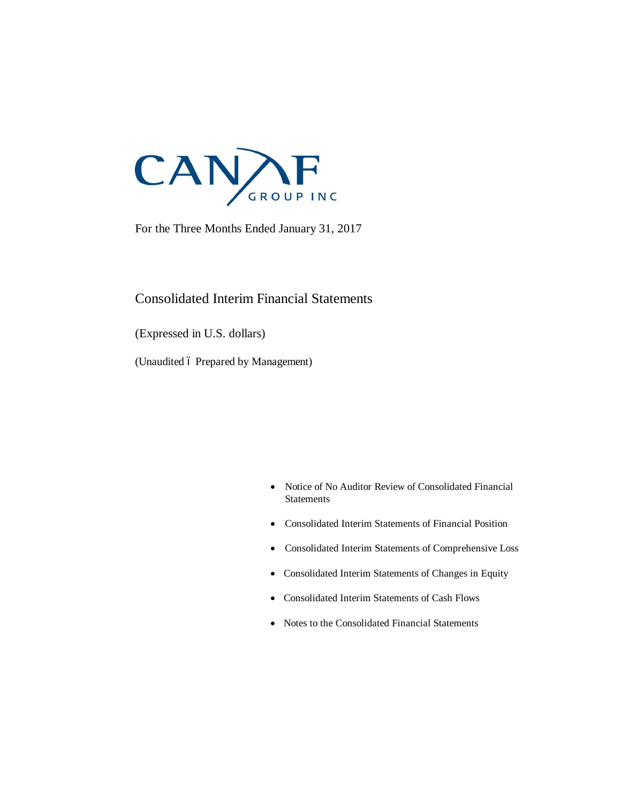

For the Three Months Ended January 31, 2017

### Consolidated Interim Financial Statements

(Expressed in U.S. dollars)

(Unaudited 6 Prepared by Management)

- · Notice of No Auditor Review of Consolidated Financial **Statements**
- · Consolidated Interim Statements of Financial Position
- · Consolidated Interim Statements of Comprehensive Loss
- · Consolidated Interim Statements of Changes in Equity
- · Consolidated Interim Statements of Cash Flows
- · Notes to the Consolidated Financial Statements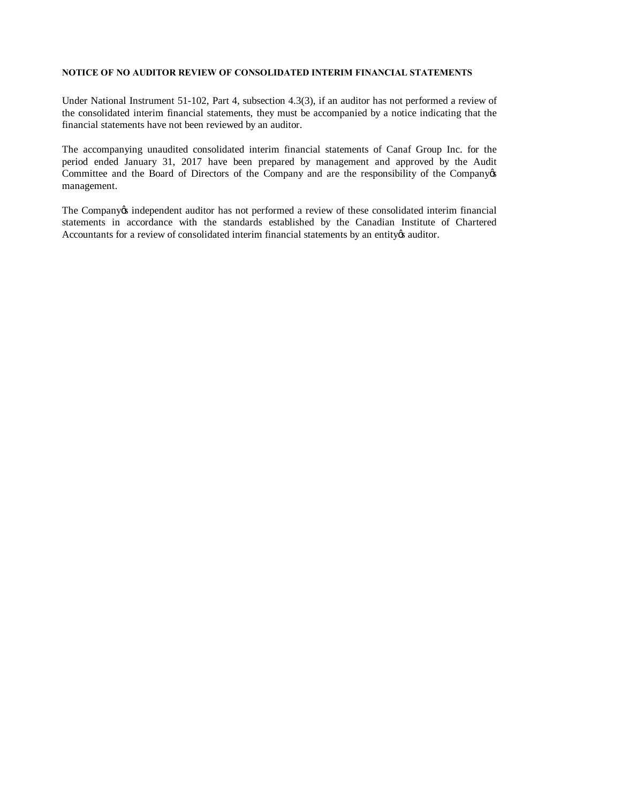#### **NOTICE OF NO AUDITOR REVIEW OF CONSOLIDATED INTERIM FINANCIAL STATEMENTS**

Under National Instrument 51-102, Part 4, subsection 4.3(3), if an auditor has not performed a review of the consolidated interim financial statements, they must be accompanied by a notice indicating that the financial statements have not been reviewed by an auditor.

The accompanying unaudited consolidated interim financial statements of Canaf Group Inc. for the period ended January 31, 2017 have been prepared by management and approved by the Audit Committee and the Board of Directors of the Company and are the responsibility of the Company of management.

The Company independent auditor has not performed a review of these consolidated interim financial statements in accordance with the standards established by the Canadian Institute of Chartered Accountants for a review of consolidated interim financial statements by an entity auditor.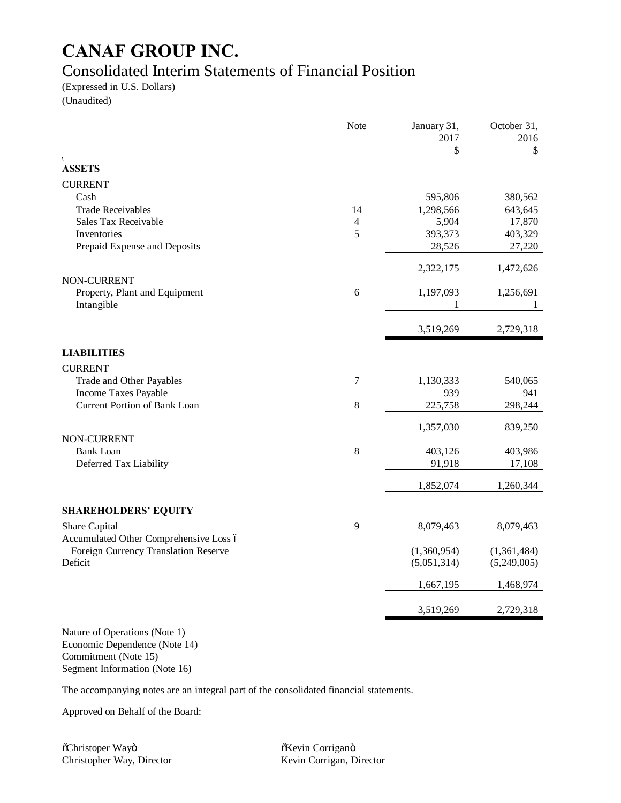## Consolidated Interim Statements of Financial Position

(Expressed in U.S. Dollars)

(Unaudited)

|                                        | Note  | January 31,<br>2017<br>\$ | October 31,<br>2016<br>\$ |
|----------------------------------------|-------|---------------------------|---------------------------|
| $\sqrt{2}$<br><b>ASSETS</b>            |       |                           |                           |
| <b>CURRENT</b>                         |       |                           |                           |
| Cash                                   |       | 595,806                   | 380,562                   |
| <b>Trade Receivables</b>               | 14    | 1,298,566                 | 643,645                   |
| Sales Tax Receivable                   | 4     | 5,904                     | 17,870                    |
| Inventories                            | 5     | 393,373                   | 403,329                   |
| Prepaid Expense and Deposits           |       | 28,526                    | 27,220                    |
| NON-CURRENT                            |       | 2,322,175                 | 1,472,626                 |
| Property, Plant and Equipment          | 6     | 1,197,093                 | 1,256,691                 |
| Intangible                             |       | 1                         | 1                         |
|                                        |       | 3,519,269                 | 2,729,318                 |
| <b>LIABILITIES</b>                     |       |                           |                           |
| <b>CURRENT</b>                         |       |                           |                           |
| Trade and Other Payables               | 7     | 1,130,333                 | 540,065                   |
| Income Taxes Payable                   |       | 939                       | 941                       |
| <b>Current Portion of Bank Loan</b>    | $8\,$ | 225,758                   | 298,244                   |
| NON-CURRENT                            |       | 1,357,030                 | 839,250                   |
| <b>Bank Loan</b>                       | $8\,$ | 403,126                   | 403,986                   |
| Deferred Tax Liability                 |       | 91,918                    | 17,108                    |
|                                        |       | 1,852,074                 | 1,260,344                 |
| <b>SHAREHOLDERS' EQUITY</b>            |       |                           |                           |
| Share Capital                          | 9     | 8,079,463                 | 8,079,463                 |
| Accumulated Other Comprehensive Loss ó |       |                           |                           |
| Foreign Currency Translation Reserve   |       | (1,360,954)               | (1,361,484)               |
| Deficit                                |       | (5,051,314)               | (5,249,005)               |
|                                        |       | 1,667,195                 | 1,468,974                 |
|                                        |       | 3,519,269                 | 2,729,318                 |
|                                        |       |                           |                           |

Nature of Operations (Note 1) Economic Dependence (Note 14) Commitment (Note 15) Segment Information (Note 16)

The accompanying notes are an integral part of the consolidated financial statements.

Approved on Behalf of the Board: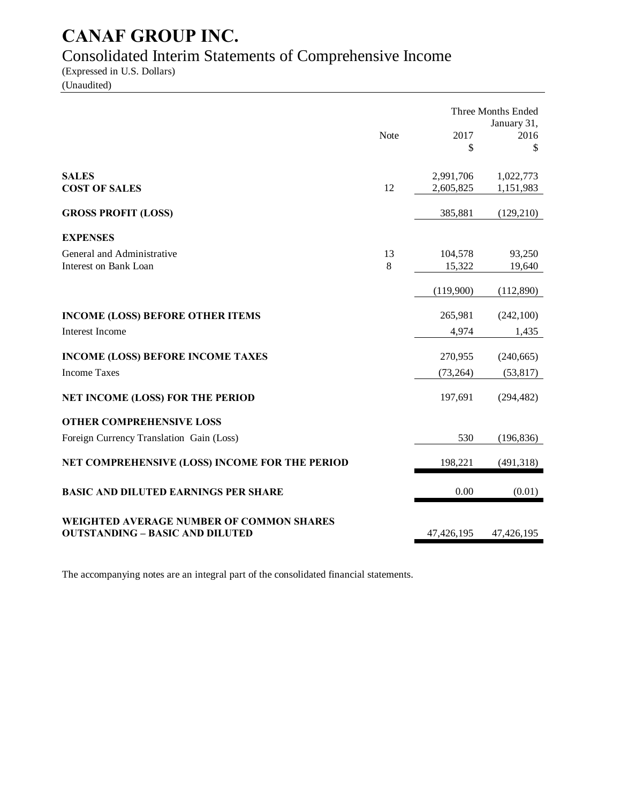## Consolidated Interim Statements of Comprehensive Income

(Expressed in U.S. Dollars) (Unaudited)

|                                                 |      |            | Three Months Ended  |
|-------------------------------------------------|------|------------|---------------------|
|                                                 | Note | 2017       | January 31,<br>2016 |
|                                                 |      | \$         | \$                  |
| <b>SALES</b>                                    |      | 2,991,706  | 1,022,773           |
| <b>COST OF SALES</b>                            | 12   | 2,605,825  | 1,151,983           |
| <b>GROSS PROFIT (LOSS)</b>                      |      | 385,881    | (129, 210)          |
| <b>EXPENSES</b>                                 |      |            |                     |
| General and Administrative                      | 13   | 104,578    | 93,250              |
| <b>Interest on Bank Loan</b>                    | 8    | 15,322     | 19,640              |
|                                                 |      | (119,900)  | (112,890)           |
| <b>INCOME (LOSS) BEFORE OTHER ITEMS</b>         |      | 265,981    | (242, 100)          |
| <b>Interest Income</b>                          |      | 4,974      | 1,435               |
| <b>INCOME (LOSS) BEFORE INCOME TAXES</b>        |      | 270,955    | (240, 665)          |
| <b>Income Taxes</b>                             |      | (73, 264)  | (53, 817)           |
| NET INCOME (LOSS) FOR THE PERIOD                |      | 197,691    | (294, 482)          |
| <b>OTHER COMPREHENSIVE LOSS</b>                 |      |            |                     |
| Foreign Currency Translation Gain (Loss)        |      | 530        | (196, 836)          |
| NET COMPREHENSIVE (LOSS) INCOME FOR THE PERIOD  |      | 198,221    | (491, 318)          |
| <b>BASIC AND DILUTED EARNINGS PER SHARE</b>     |      | 0.00       | (0.01)              |
| <b>WEIGHTED AVERAGE NUMBER OF COMMON SHARES</b> |      |            |                     |
| <b>OUTSTANDING - BASIC AND DILUTED</b>          |      | 47,426,195 | 47,426,195          |

The accompanying notes are an integral part of the consolidated financial statements.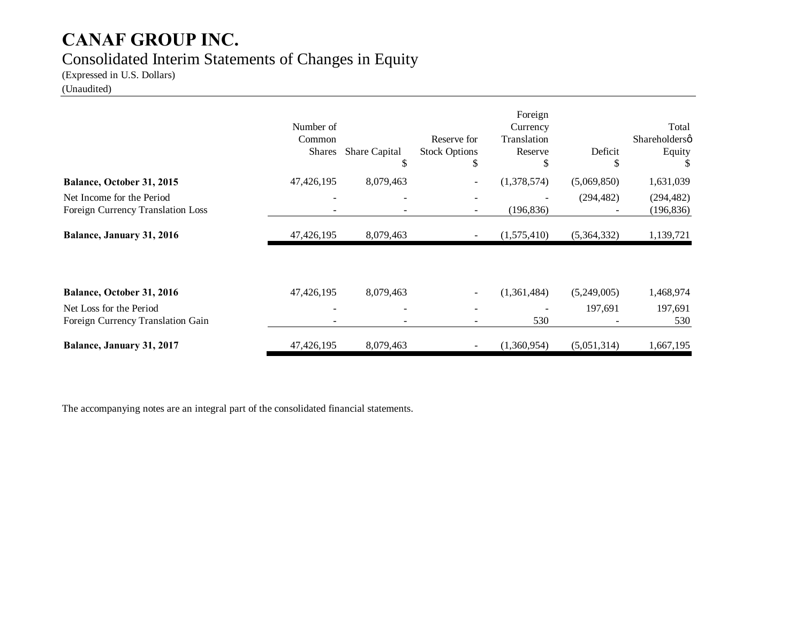## Consolidated Interim Statements of Changes in Equity

(Expressed in U.S. Dollars)

### (Unaudited)

|                                                                | Number of<br>Common<br><b>Shares</b> | <b>Share Capital</b><br>\$ | Reserve for<br><b>Stock Options</b><br>\$ | Foreign<br>Currency<br>Translation<br>Reserve<br>\$ | Deficit<br>P | Total<br>Shareholdersø<br>Equity |
|----------------------------------------------------------------|--------------------------------------|----------------------------|-------------------------------------------|-----------------------------------------------------|--------------|----------------------------------|
| Balance, October 31, 2015                                      | 47,426,195                           | 8,079,463                  |                                           | (1,378,574)                                         | (5,069,850)  | 1,631,039                        |
| Net Income for the Period<br>Foreign Currency Translation Loss |                                      |                            |                                           | (196, 836)                                          | (294, 482)   | (294, 482)<br>(196, 836)         |
| <b>Balance, January 31, 2016</b>                               | 47,426,195                           | 8,079,463                  |                                           | (1,575,410)                                         | (5,364,332)  | 1,139,721                        |
| Balance, October 31, 2016                                      | 47,426,195                           | 8,079,463                  |                                           | (1,361,484)                                         | (5,249,005)  | 1,468,974                        |
| Net Loss for the Period<br>Foreign Currency Translation Gain   |                                      |                            |                                           | 530                                                 | 197,691      | 197,691<br>530                   |
| Balance, January 31, 2017                                      | 47,426,195                           | 8,079,463                  |                                           | (1,360,954)                                         | (5,051,314)  | 1,667,195                        |

The accompanying notes are an integral part of the consolidated financial statements.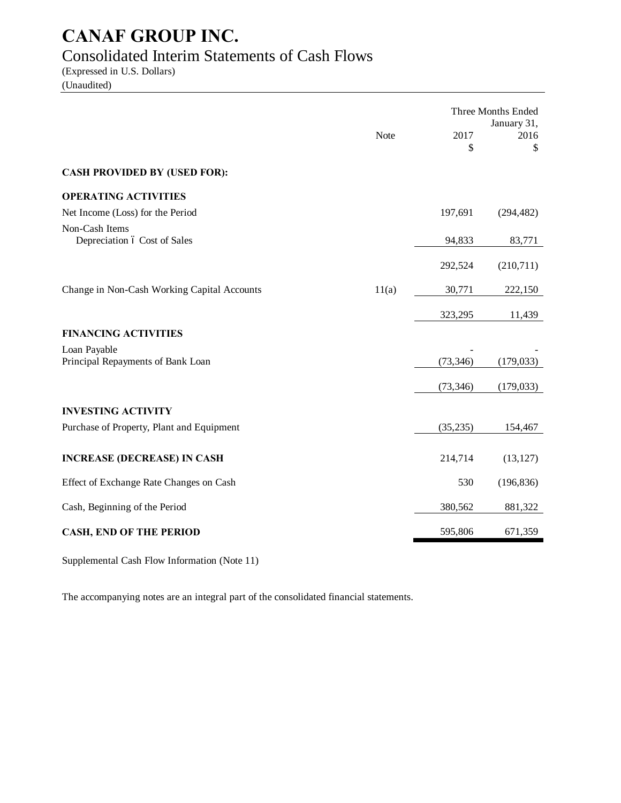## Consolidated Interim Statements of Cash Flows

(Expressed in U.S. Dollars) (Unaudited)

|                                                   |       | Three Months Ended |                           |  |
|---------------------------------------------------|-------|--------------------|---------------------------|--|
|                                                   | Note  | 2017<br>\$         | January 31,<br>2016<br>\$ |  |
| <b>CASH PROVIDED BY (USED FOR):</b>               |       |                    |                           |  |
| <b>OPERATING ACTIVITIES</b>                       |       |                    |                           |  |
| Net Income (Loss) for the Period                  |       | 197,691            | (294, 482)                |  |
| Non-Cash Items<br>Depreciation ó Cost of Sales    |       | 94,833             | 83,771                    |  |
|                                                   |       | 292,524            | (210,711)                 |  |
| Change in Non-Cash Working Capital Accounts       | 11(a) | 30,771             | 222,150                   |  |
|                                                   |       | 323,295            | 11,439                    |  |
| <b>FINANCING ACTIVITIES</b>                       |       |                    |                           |  |
| Loan Payable<br>Principal Repayments of Bank Loan |       | (73, 346)          | (179, 033)                |  |
|                                                   |       | (73, 346)          | (179, 033)                |  |
| <b>INVESTING ACTIVITY</b>                         |       |                    |                           |  |
| Purchase of Property, Plant and Equipment         |       | (35, 235)          | 154,467                   |  |
| <b>INCREASE (DECREASE) IN CASH</b>                |       | 214,714            | (13, 127)                 |  |
| Effect of Exchange Rate Changes on Cash           |       | 530                | (196, 836)                |  |
| Cash, Beginning of the Period                     |       | 380,562            | 881,322                   |  |
| <b>CASH, END OF THE PERIOD</b>                    |       | 595,806            | 671,359                   |  |

Supplemental Cash Flow Information (Note 11)

The accompanying notes are an integral part of the consolidated financial statements.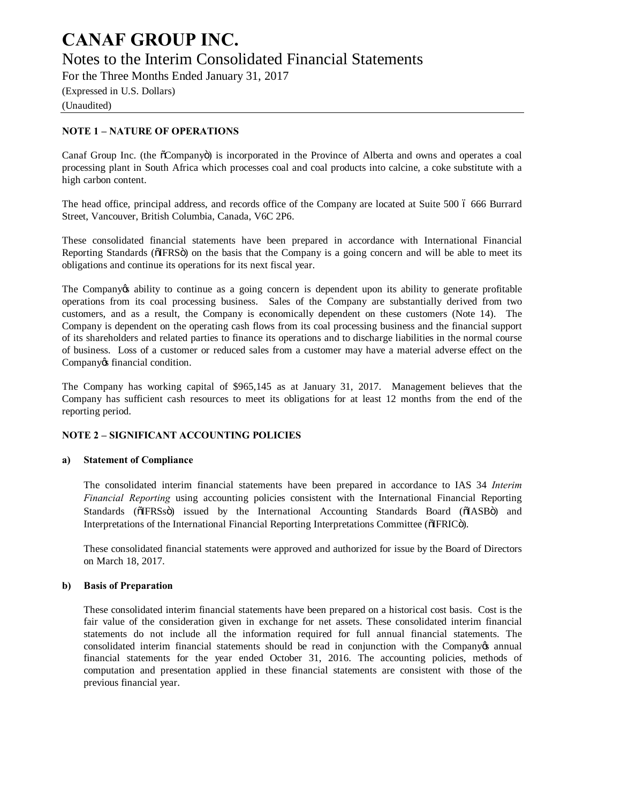### **CANAF GROUP INC.** Notes to the Interim Consolidated Financial Statements

For the Three Months Ended January 31, 2017

(Expressed in U.S. Dollars) (Unaudited)

### **NOTE 1 – NATURE OF OPERATIONS**

Canaf Group Inc. (the  $\tilde{o}$ Company $\tilde{o}$ ) is incorporated in the Province of Alberta and owns and operates a coal processing plant in South Africa which processes coal and coal products into calcine, a coke substitute with a high carbon content.

The head office, principal address, and records office of the Company are located at Suite 500 6 666 Burrard Street, Vancouver, British Columbia, Canada, V6C 2P6.

These consolidated financial statements have been prepared in accordance with International Financial Reporting Standards ( $\delta$ IFRS $\delta$ ) on the basis that the Company is a going concern and will be able to meet its obligations and continue its operations for its next fiscal year.

The Company ts ability to continue as a going concern is dependent upon its ability to generate profitable operations from its coal processing business. Sales of the Company are substantially derived from two customers, and as a result, the Company is economically dependent on these customers (Note 14). The Company is dependent on the operating cash flows from its coal processing business and the financial support of its shareholders and related parties to finance its operations and to discharge liabilities in the normal course of business. Loss of a customer or reduced sales from a customer may have a material adverse effect on the Company os financial condition.

The Company has working capital of \$965,145 as at January 31, 2017. Management believes that the Company has sufficient cash resources to meet its obligations for at least 12 months from the end of the reporting period.

### **NOTE 2 – SIGNIFICANT ACCOUNTING POLICIES**

### **a) Statement of Compliance**

The consolidated interim financial statements have been prepared in accordance to IAS 34 *Interim Financial Reporting* using accounting policies consistent with the International Financial Reporting Standards ( $\delta$ IFRSs $\delta$ ) issued by the International Accounting Standards Board ( $\delta$ IASB $\delta$ ) and Interpretations of the International Financial Reporting Interpretations Committee ( $\delta$ IFRIC $\delta$ ).

These consolidated financial statements were approved and authorized for issue by the Board of Directors on March 18, 2017.

### **b) Basis of Preparation**

These consolidated interim financial statements have been prepared on a historical cost basis. Cost is the fair value of the consideration given in exchange for net assets. These consolidated interim financial statements do not include all the information required for full annual financial statements. The consolidated interim financial statements should be read in conjunction with the Company's annual financial statements for the year ended October 31, 2016. The accounting policies, methods of computation and presentation applied in these financial statements are consistent with those of the previous financial year.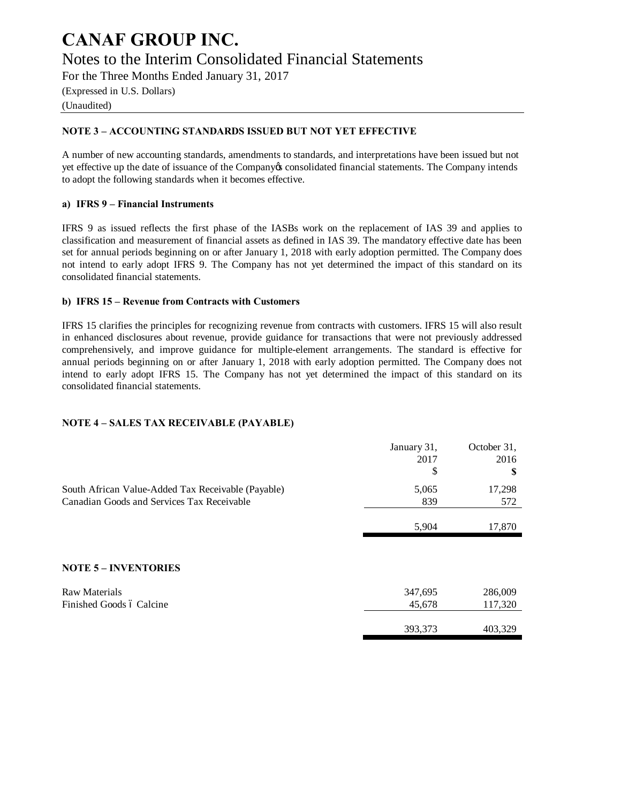### **CANAF GROUP INC.** Notes to the Interim Consolidated Financial Statements

For the Three Months Ended January 31, 2017

(Expressed in U.S. Dollars) (Unaudited)

### **NOTE 3 – ACCOUNTING STANDARDS ISSUED BUT NOT YET EFFECTIVE**

A number of new accounting standards, amendments to standards, and interpretations have been issued but not yet effective up the date of issuance of the Company's consolidated financial statements. The Company intends to adopt the following standards when it becomes effective.

### **a) IFRS 9 – Financial Instruments**

IFRS 9 as issued reflects the first phase of the IASBs work on the replacement of IAS 39 and applies to classification and measurement of financial assets as defined in IAS 39. The mandatory effective date has been set for annual periods beginning on or after January 1, 2018 with early adoption permitted. The Company does not intend to early adopt IFRS 9. The Company has not yet determined the impact of this standard on its consolidated financial statements.

### **b) IFRS 15 – Revenue from Contracts with Customers**

IFRS 15 clarifies the principles for recognizing revenue from contracts with customers. IFRS 15 will also result in enhanced disclosures about revenue, provide guidance for transactions that were not previously addressed comprehensively, and improve guidance for multiple-element arrangements. The standard is effective for annual periods beginning on or after January 1, 2018 with early adoption permitted. The Company does not intend to early adopt IFRS 15. The Company has not yet determined the impact of this standard on its consolidated financial statements.

### **NOTE 4 – SALES TAX RECEIVABLE (PAYABLE)**

|                                                    | January 31, | October 31, |
|----------------------------------------------------|-------------|-------------|
|                                                    | 2017        | 2016        |
|                                                    | \$          | S           |
| South African Value-Added Tax Receivable (Payable) | 5,065       | 17,298      |
| Canadian Goods and Services Tax Receivable         | 839         | 572         |
|                                                    |             |             |
|                                                    | 5,904       | 17,870      |
|                                                    |             |             |
| <b>NOTE 5 - INVENTORIES</b>                        |             |             |
| <b>Raw Materials</b>                               | 347,695     | 286,009     |
| Finished Goods ó Calcine                           | 45,678      | 117,320     |
|                                                    |             |             |
|                                                    | 393,373     | 403,329     |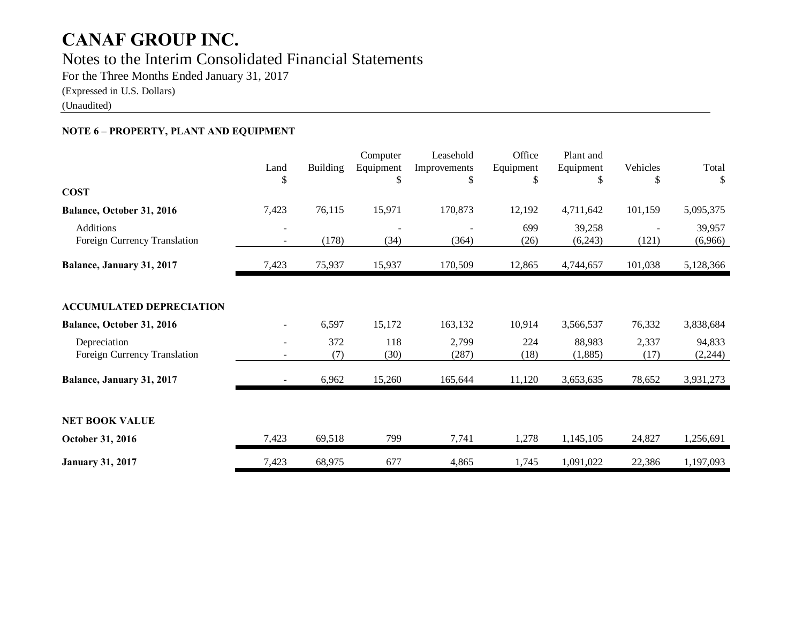### Notes to the Interim Consolidated Financial Statements

For the Three Months Ended January 31, 2017

(Expressed in U.S. Dollars)

(Unaudited)

### **NOTE 6 – PROPERTY, PLANT AND EQUIPMENT**

|                                                  | Land<br>\$ | Building   | Computer<br>Equipment<br>\$ | Leasehold<br>Improvements<br>\$ | Office<br>Equipment<br>\$ | Plant and<br>Equipment<br>\$ | Vehicles<br>\$ | Total<br>S         |
|--------------------------------------------------|------------|------------|-----------------------------|---------------------------------|---------------------------|------------------------------|----------------|--------------------|
| <b>COST</b>                                      |            |            |                             |                                 |                           |                              |                |                    |
| Balance, October 31, 2016                        | 7,423      | 76,115     | 15,971                      | 170,873                         | 12,192                    | 4,711,642                    | 101,159        | 5,095,375          |
| <b>Additions</b><br>Foreign Currency Translation |            | (178)      | (34)                        | (364)                           | 699<br>(26)               | 39,258<br>(6,243)            | (121)          | 39,957<br>(6,966)  |
| Balance, January 31, 2017                        | 7,423      | 75,937     | 15,937                      | 170,509                         | 12,865                    | 4,744,657                    | 101,038        | 5,128,366          |
| <b>ACCUMULATED DEPRECIATION</b>                  |            |            |                             |                                 |                           |                              |                |                    |
| Balance, October 31, 2016                        |            | 6,597      | 15,172                      | 163,132                         | 10,914                    | 3,566,537                    | 76,332         | 3,838,684          |
| Depreciation<br>Foreign Currency Translation     |            | 372<br>(7) | 118<br>(30)                 | 2,799<br>(287)                  | 224<br>(18)               | 88,983<br>(1,885)            | 2,337<br>(17)  | 94,833<br>(2, 244) |
| Balance, January 31, 2017                        |            | 6,962      | 15,260                      | 165,644                         | 11,120                    | 3,653,635                    | 78,652         | 3,931,273          |
| <b>NET BOOK VALUE</b>                            |            |            |                             |                                 |                           |                              |                |                    |
| October 31, 2016                                 | 7,423      | 69,518     | 799                         | 7,741                           | 1,278                     | 1,145,105                    | 24,827         | 1,256,691          |
| <b>January 31, 2017</b>                          | 7,423      | 68,975     | 677                         | 4,865                           | 1,745                     | 1,091,022                    | 22,386         | 1,197,093          |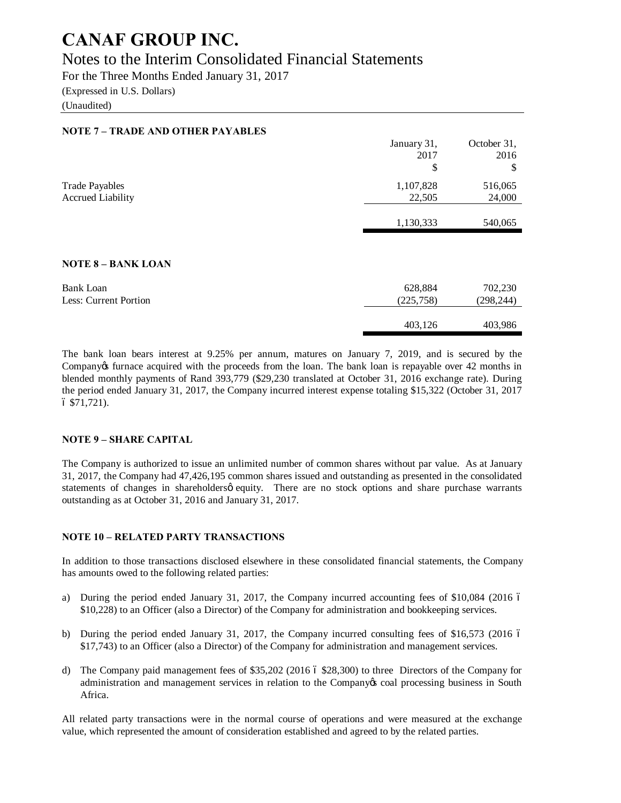### Notes to the Interim Consolidated Financial Statements

For the Three Months Ended January 31, 2017 (Expressed in U.S. Dollars)

(Unaudited)

### **NOTE 7 – TRADE AND OTHER PAYABLES**

|                                                   | January 31,<br>2017<br>\$ | October 31,<br>2016<br>\$ |
|---------------------------------------------------|---------------------------|---------------------------|
| <b>Trade Payables</b><br><b>Accrued Liability</b> | 1,107,828<br>22,505       | 516,065<br>24,000         |
|                                                   | 1,130,333                 | 540,065                   |

#### **NOTE 8 – BANK LOAN**

| Bank Loan             | 628,884   | 702,230   |
|-----------------------|-----------|-----------|
| Less: Current Portion | (225,758) | (298,244) |
|                       | 403.126   | 403,986   |

The bank loan bears interest at 9.25% per annum, matures on January 7, 2019, and is secured by the Company ts furnace acquired with the proceeds from the loan. The bank loan is repayable over 42 months in blended monthly payments of Rand 393,779 (\$29,230 translated at October 31, 2016 exchange rate). During the period ended January 31, 2017, the Company incurred interest expense totaling \$15,322 (October 31, 2017  $6$  \$71,721).

### **NOTE 9 – SHARE CAPITAL**

The Company is authorized to issue an unlimited number of common shares without par value. As at January 31, 2017, the Company had 47,426,195 common shares issued and outstanding as presented in the consolidated statements of changes in shareholdersø equity. There are no stock options and share purchase warrants outstanding as at October 31, 2016 and January 31, 2017.

### **NOTE 10 – RELATED PARTY TRANSACTIONS**

In addition to those transactions disclosed elsewhere in these consolidated financial statements, the Company has amounts owed to the following related parties:

- a) During the period ended January 31, 2017, the Company incurred accounting fees of \$10,084 (2016 6) \$10,228) to an Officer (also a Director) of the Company for administration and bookkeeping services.
- b) During the period ended January 31, 2017, the Company incurred consulting fees of \$16,573 (2016 6) \$17,743) to an Officer (also a Director) of the Company for administration and management services.
- d) The Company paid management fees of  $$35,202$  (2016 6  $$28,300$ ) to three Directors of the Company for administration and management services in relation to the Company os coal processing business in South Africa.

All related party transactions were in the normal course of operations and were measured at the exchange value, which represented the amount of consideration established and agreed to by the related parties.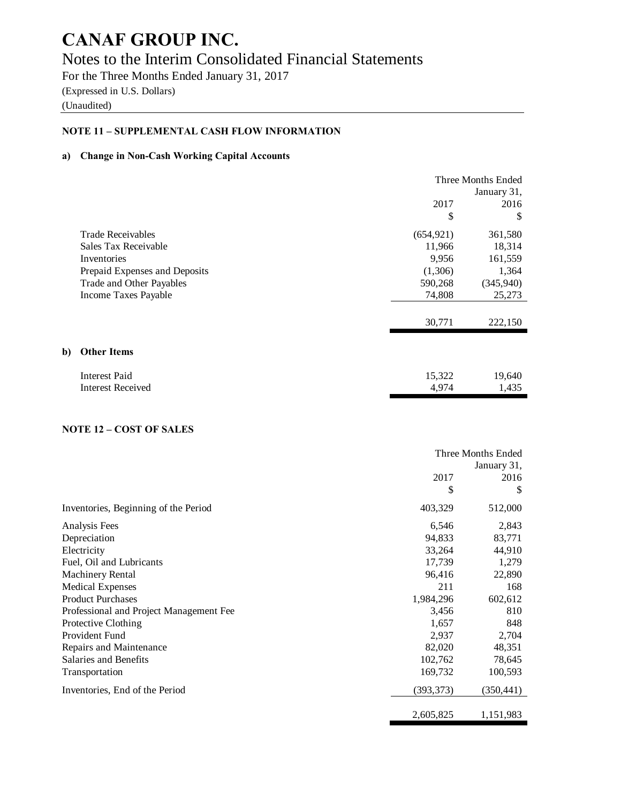### Notes to the Interim Consolidated Financial Statements

For the Three Months Ended January 31, 2017 (Expressed in U.S. Dollars)

(Unaudited)

### **NOTE 11 – SUPPLEMENTAL CASH FLOW INFORMATION**

#### **a) Change in Non-Cash Working Capital Accounts**

|    |                               | Three Months Ended<br>January 31, |           |  |
|----|-------------------------------|-----------------------------------|-----------|--|
|    |                               | 2017                              | 2016      |  |
|    |                               | \$                                | \$        |  |
|    | <b>Trade Receivables</b>      | (654, 921)                        | 361,580   |  |
|    | Sales Tax Receivable          | 11,966                            | 18,314    |  |
|    | Inventories                   | 9,956                             | 161,559   |  |
|    | Prepaid Expenses and Deposits | (1,306)                           | 1,364     |  |
|    | Trade and Other Payables      | 590,268                           | (345,940) |  |
|    | Income Taxes Payable          | 74,808                            | 25,273    |  |
|    |                               |                                   |           |  |
|    |                               | 30,771                            | 222,150   |  |
| b) | <b>Other Items</b>            |                                   |           |  |
|    |                               |                                   |           |  |
|    | <b>Interest Paid</b>          | 15,322                            | 19,640    |  |
|    | <b>Interest Received</b>      | 4,974                             | 1,435     |  |

### **NOTE 12 – COST OF SALES**

|                                         | Three Months Ended |             |  |
|-----------------------------------------|--------------------|-------------|--|
|                                         |                    | January 31, |  |
|                                         | 2017               | 2016        |  |
|                                         | \$                 | S           |  |
| Inventories, Beginning of the Period    | 403,329            | 512,000     |  |
| Analysis Fees                           | 6,546              | 2,843       |  |
| Depreciation                            | 94,833             | 83,771      |  |
| Electricity                             | 33,264             | 44,910      |  |
| Fuel, Oil and Lubricants                | 17,739             | 1,279       |  |
| Machinery Rental                        | 96,416             | 22,890      |  |
| <b>Medical Expenses</b>                 | 211                | 168         |  |
| <b>Product Purchases</b>                | 1,984,296          | 602,612     |  |
| Professional and Project Management Fee | 3,456              | 810         |  |
| Protective Clothing                     | 1,657              | 848         |  |
| Provident Fund                          | 2,937              | 2,704       |  |
| Repairs and Maintenance                 | 82,020             | 48,351      |  |
| Salaries and Benefits                   | 102,762            | 78,645      |  |
| Transportation                          | 169,732            | 100,593     |  |
| Inventories, End of the Period          | (393, 373)         | (350, 441)  |  |
|                                         | 2,605,825          | 1,151,983   |  |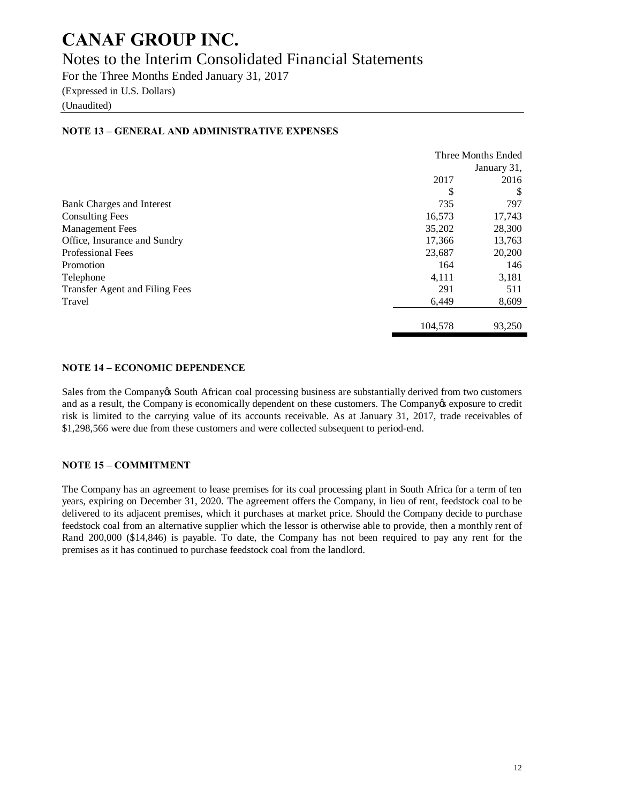### Notes to the Interim Consolidated Financial Statements

For the Three Months Ended January 31, 2017

(Expressed in U.S. Dollars)

(Unaudited)

|                                | Three Months Ended |             |  |
|--------------------------------|--------------------|-------------|--|
|                                |                    | January 31, |  |
|                                | 2017               | 2016        |  |
|                                | \$                 | S           |  |
| Bank Charges and Interest      | 735                | 797         |  |
| <b>Consulting Fees</b>         | 16,573             | 17,743      |  |
| <b>Management Fees</b>         | 35,202             | 28,300      |  |
| Office, Insurance and Sundry   | 17,366             | 13,763      |  |
| <b>Professional Fees</b>       | 23,687             | 20,200      |  |
| Promotion                      | 164                | 146         |  |
| Telephone                      | 4,111              | 3,181       |  |
| Transfer Agent and Filing Fees | 291                | 511         |  |
| Travel                         | 6,449              | 8,609       |  |
|                                | 104,578            | 93,250      |  |

### **NOTE 13 – GENERAL AND ADMINISTRATIVE EXPENSES**

### **NOTE 14 – ECONOMIC DEPENDENCE**

Sales from the Company& South African coal processing business are substantially derived from two customers and as a result, the Company is economically dependent on these customers. The Company is exposure to credit risk is limited to the carrying value of its accounts receivable. As at January 31, 2017, trade receivables of \$1,298,566 were due from these customers and were collected subsequent to period-end.

### **NOTE 15 – COMMITMENT**

The Company has an agreement to lease premises for its coal processing plant in South Africa for a term of ten years, expiring on December 31, 2020. The agreement offers the Company, in lieu of rent, feedstock coal to be delivered to its adjacent premises, which it purchases at market price. Should the Company decide to purchase feedstock coal from an alternative supplier which the lessor is otherwise able to provide, then a monthly rent of Rand 200,000 (\$14,846) is payable. To date, the Company has not been required to pay any rent for the premises as it has continued to purchase feedstock coal from the landlord.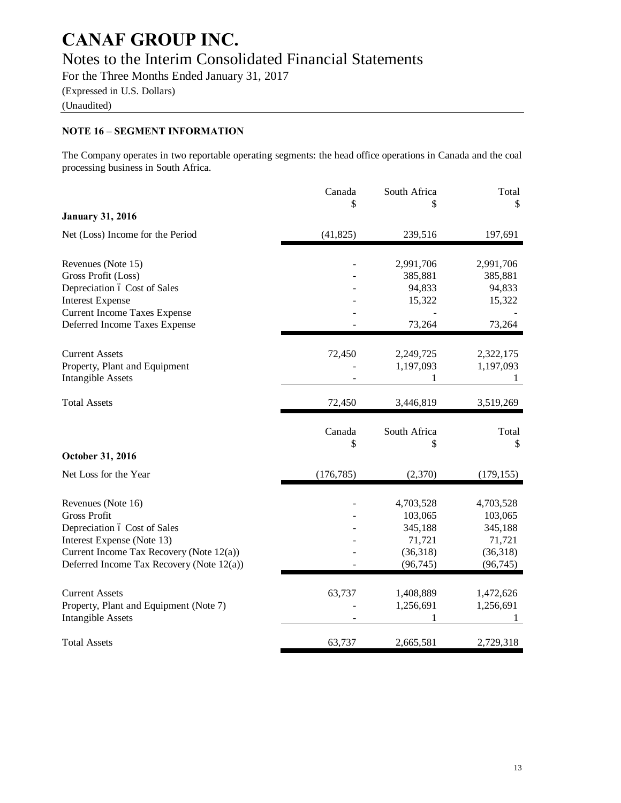### Notes to the Interim Consolidated Financial Statements

For the Three Months Ended January 31, 2017

(Expressed in U.S. Dollars)

(Unaudited)

### **NOTE 16 – SEGMENT INFORMATION**

The Company operates in two reportable operating segments: the head office operations in Canada and the coal processing business in South Africa.

|                                                                        | Canada<br>\$ | South Africa<br>\$ | Total<br>\$       |
|------------------------------------------------------------------------|--------------|--------------------|-------------------|
| <b>January 31, 2016</b>                                                |              |                    |                   |
| Net (Loss) Income for the Period                                       | (41, 825)    | 239,516            | 197,691           |
| Revenues (Note 15)                                                     |              | 2,991,706          | 2,991,706         |
| Gross Profit (Loss)                                                    |              | 385,881            | 385,881           |
| Depreciation ó Cost of Sales                                           |              | 94,833             | 94,833            |
| <b>Interest Expense</b>                                                |              | 15,322             | 15,322            |
| <b>Current Income Taxes Expense</b>                                    |              |                    |                   |
| Deferred Income Taxes Expense                                          |              | 73,264             | 73,264            |
| <b>Current Assets</b>                                                  | 72,450       | 2,249,725          | 2,322,175         |
| Property, Plant and Equipment                                          |              | 1,197,093          | 1,197,093         |
| <b>Intangible Assets</b>                                               |              | 1                  | 1                 |
| <b>Total Assets</b>                                                    | 72,450       | 3,446,819          | 3,519,269         |
|                                                                        | Canada       | South Africa       | Total             |
|                                                                        | \$           | \$                 | \$                |
| October 31, 2016                                                       |              |                    |                   |
| Net Loss for the Year                                                  | (176, 785)   | (2,370)            | (179, 155)        |
| Revenues (Note 16)                                                     |              |                    |                   |
|                                                                        |              |                    |                   |
|                                                                        |              | 4,703,528          | 4,703,528         |
| <b>Gross Profit</b>                                                    |              | 103,065            | 103,065           |
| Depreciation ó Cost of Sales                                           |              | 345,188<br>71,721  | 345,188<br>71,721 |
| Interest Expense (Note 13)<br>Current Income Tax Recovery (Note 12(a)) |              | (36,318)           | (36,318)          |
| Deferred Income Tax Recovery (Note 12(a))                              |              | (96, 745)          | (96, 745)         |
|                                                                        |              |                    |                   |
| <b>Current Assets</b>                                                  | 63,737       | 1,408,889          | 1,472,626         |
| Property, Plant and Equipment (Note 7)<br><b>Intangible Assets</b>     |              | 1,256,691<br>1     | 1,256,691<br>1    |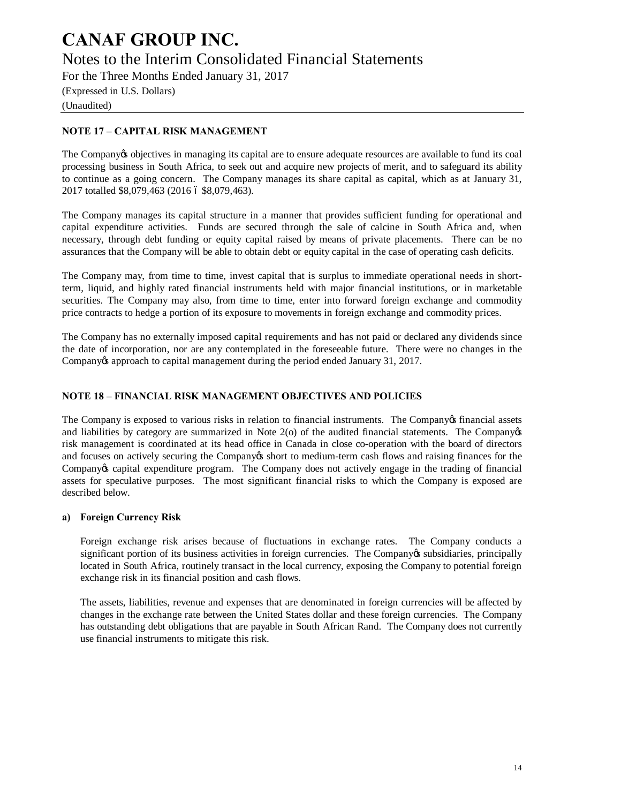### **CANAF GROUP INC.** Notes to the Interim Consolidated Financial Statements

For the Three Months Ended January 31, 2017

(Expressed in U.S. Dollars) (Unaudited)

### **NOTE 17 – CAPITAL RISK MANAGEMENT**

The Company to objectives in managing its capital are to ensure adequate resources are available to fund its coal processing business in South Africa, to seek out and acquire new projects of merit, and to safeguard its ability to continue as a going concern. The Company manages its share capital as capital, which as at January 31, 2017 totalled \$8,079,463 (2016 ó \$8,079,463).

The Company manages its capital structure in a manner that provides sufficient funding for operational and capital expenditure activities. Funds are secured through the sale of calcine in South Africa and, when necessary, through debt funding or equity capital raised by means of private placements. There can be no assurances that the Company will be able to obtain debt or equity capital in the case of operating cash deficits.

The Company may, from time to time, invest capital that is surplus to immediate operational needs in shortterm, liquid, and highly rated financial instruments held with major financial institutions, or in marketable securities. The Company may also, from time to time, enter into forward foreign exchange and commodity price contracts to hedge a portion of its exposure to movements in foreign exchange and commodity prices.

The Company has no externally imposed capital requirements and has not paid or declared any dividends since the date of incorporation, nor are any contemplated in the foreseeable future. There were no changes in the Company's approach to capital management during the period ended January 31, 2017.

### **NOTE 18 – FINANCIAL RISK MANAGEMENT OBJECTIVES AND POLICIES**

The Company is exposed to various risks in relation to financial instruments. The Company of financial assets and liabilities by category are summarized in Note  $2$ (o) of the audited financial statements. The Company $\alpha$ risk management is coordinated at its head office in Canada in close co-operation with the board of directors and focuses on actively securing the Company is short to medium-term cash flows and raising finances for the Company's capital expenditure program. The Company does not actively engage in the trading of financial assets for speculative purposes. The most significant financial risks to which the Company is exposed are described below.

### **a) Foreign Currency Risk**

Foreign exchange risk arises because of fluctuations in exchange rates. The Company conducts a significant portion of its business activities in foreign currencies. The Company os subsidiaries, principally located in South Africa, routinely transact in the local currency, exposing the Company to potential foreign exchange risk in its financial position and cash flows.

The assets, liabilities, revenue and expenses that are denominated in foreign currencies will be affected by changes in the exchange rate between the United States dollar and these foreign currencies. The Company has outstanding debt obligations that are payable in South African Rand. The Company does not currently use financial instruments to mitigate this risk.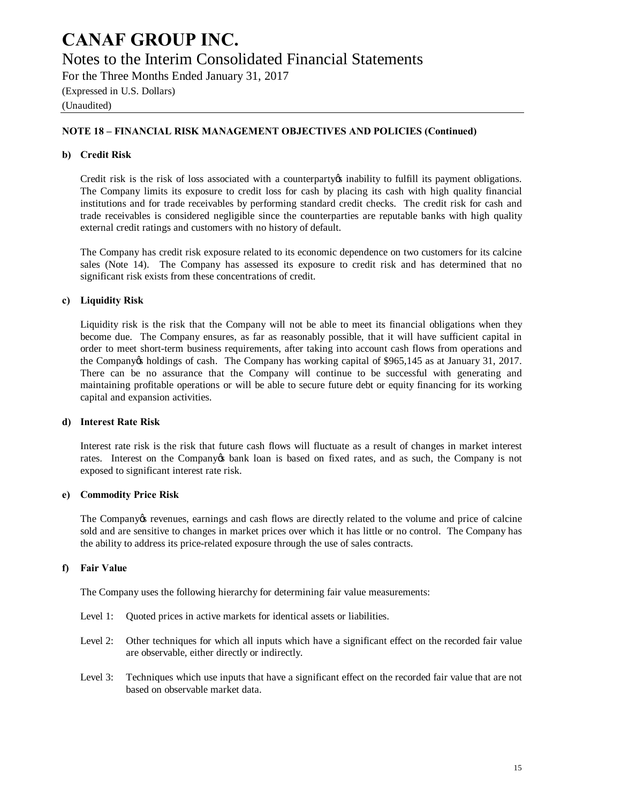### Notes to the Interim Consolidated Financial Statements

For the Three Months Ended January 31, 2017 (Expressed in U.S. Dollars)

(Unaudited)

### **NOTE 18 – FINANCIAL RISK MANAGEMENT OBJECTIVES AND POLICIES (Continued)**

### **b) Credit Risk**

Credit risk is the risk of loss associated with a counterparty os inability to fulfill its payment obligations. The Company limits its exposure to credit loss for cash by placing its cash with high quality financial institutions and for trade receivables by performing standard credit checks. The credit risk for cash and trade receivables is considered negligible since the counterparties are reputable banks with high quality external credit ratings and customers with no history of default.

The Company has credit risk exposure related to its economic dependence on two customers for its calcine sales (Note 14). The Company has assessed its exposure to credit risk and has determined that no significant risk exists from these concentrations of credit.

#### **c) Liquidity Risk**

Liquidity risk is the risk that the Company will not be able to meet its financial obligations when they become due. The Company ensures, as far as reasonably possible, that it will have sufficient capital in order to meet short-term business requirements, after taking into account cash flows from operations and the Company os holdings of cash. The Company has working capital of \$965,145 as at January 31, 2017. There can be no assurance that the Company will continue to be successful with generating and maintaining profitable operations or will be able to secure future debt or equity financing for its working capital and expansion activities.

#### **d) Interest Rate Risk**

Interest rate risk is the risk that future cash flows will fluctuate as a result of changes in market interest rates. Interest on the Company to bank loan is based on fixed rates, and as such, the Company is not exposed to significant interest rate risk.

#### **e) Commodity Price Risk**

The Company tevenues, earnings and cash flows are directly related to the volume and price of calcine sold and are sensitive to changes in market prices over which it has little or no control. The Company has the ability to address its price-related exposure through the use of sales contracts.

### **f) Fair Value**

The Company uses the following hierarchy for determining fair value measurements:

- Level 1: Quoted prices in active markets for identical assets or liabilities.
- Level 2: Other techniques for which all inputs which have a significant effect on the recorded fair value are observable, either directly or indirectly.
- Level 3: Techniques which use inputs that have a significant effect on the recorded fair value that are not based on observable market data.